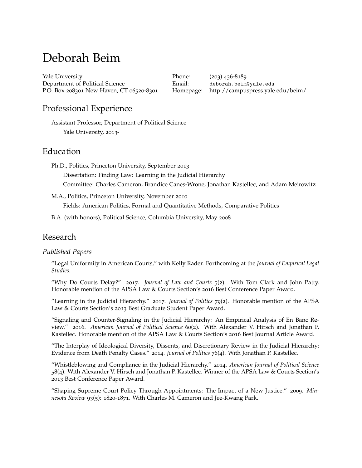# Deborah Beim

[Yale University](http://www.yale.edu/) Department of Political Science P.O. Box 208301 New Haven, CT 06520-8301

Phone: (203) 436-8189 Email: [deborah.beim@yale.edu](mailto:deborah.beim@yale.edu) Homepage: <http://campuspress.yale.edu/beim/>

# Professional Experience

Assistant Professor, Department of Political Science Yale University, 2013-

# Education

Ph.D., Politics, Princeton University, September 2013

Dissertation: Finding Law: Learning in the Judicial Hierarchy

Committee: Charles Cameron, Brandice Canes-Wrone, Jonathan Kastellec, and Adam Meirowitz

M.A., Politics, Princeton University, November 2010

Fields: American Politics, Formal and Quantitative Methods, Comparative Politics

B.A. (with honors), Political Science, Columbia University, May 2008

# Research

#### *Published Papers*

"Legal Uniformity in American Courts," with Kelly Rader. Forthcoming at the *Journal of Empirical Legal Studies*.

"Why Do Courts Delay?" 2017. *Journal of Law and Courts* 5(2). With Tom Clark and John Patty. Honorable mention of the APSA Law & Courts Section's 2016 Best Conference Paper Award.

"Learning in the Judicial Hierarchy." 2017. *Journal of Politics* 79(2). Honorable mention of the APSA Law & Courts Section's 2013 Best Graduate Student Paper Award.

"Signaling and Counter-Signaling in the Judicial Hierarchy: An Empirical Analysis of En Banc Review." 2016. *American Journal of Political Science* 60(2). With Alexander V. Hirsch and Jonathan P. Kastellec. Honorable mention of the APSA Law & Courts Section's 2016 Best Journal Article Award.

"The Interplay of Ideological Diversity, Dissents, and Discretionary Review in the Judicial Hierarchy: Evidence from Death Penalty Cases." 2014. *Journal of Politics* 76(4). With Jonathan P. Kastellec.

"Whistleblowing and Compliance in the Judicial Hierarchy." 2014. *American Journal of Political Science* 58(4). With Alexander V. Hirsch and Jonathan P. Kastellec. Winner of the APSA Law & Courts Section's 2013 Best Conference Paper Award.

"Shaping Supreme Court Policy Through Appointments: The Impact of a New Justice." 2009. *Minnesota Review* 93(5): 1820-1871. With Charles M. Cameron and Jee-Kwang Park.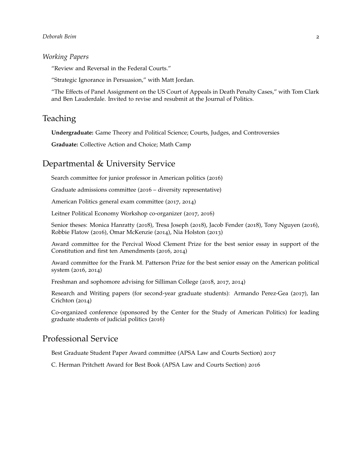#### *Deborah Beim* 2

#### *Working Papers*

"Review and Reversal in the Federal Courts."

"Strategic Ignorance in Persuasion," with Matt Jordan.

"The Effects of Panel Assignment on the US Court of Appeals in Death Penalty Cases," with Tom Clark and Ben Lauderdale. Invited to revise and resubmit at the Journal of Politics.

### Teaching

**Undergraduate:** Game Theory and Political Science; Courts, Judges, and Controversies

**Graduate:** Collective Action and Choice; Math Camp

## Departmental & University Service

Search committee for junior professor in American politics (2016)

Graduate admissions committee (2016 – diversity representative)

American Politics general exam committee (2017, 2014)

Leitner Political Economy Workshop co-organizer (2017, 2016)

Senior theses: Monica Hanratty (2018), Tresa Joseph (2018), Jacob Fender (2018), Tony Nguyen (2016), Robbie Flatow (2016), Omar McKenzie (2014), Nia Holston (2013)

Award committee for the Percival Wood Clement Prize for the best senior essay in support of the Constitution and first ten Amendments (2016, 2014)

Award committee for the Frank M. Patterson Prize for the best senior essay on the American political system (2016, 2014)

Freshman and sophomore advising for Silliman College (2018, 2017, 2014)

Research and Writing papers (for second-year graduate students): Armando Perez-Gea (2017), Ian Crichton (2014)

Co-organized conference (sponsored by the Center for the Study of American Politics) for leading graduate students of judicial politics (2016)

## Professional Service

Best Graduate Student Paper Award committee (APSA Law and Courts Section) 2017

C. Herman Pritchett Award for Best Book (APSA Law and Courts Section) 2016